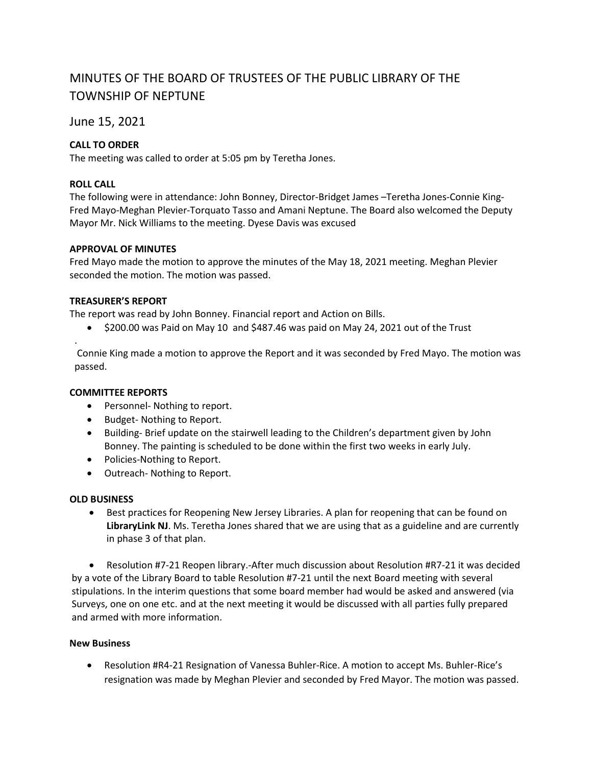# MINUTES OF THE BOARD OF TRUSTEES OF THE PUBLIC LIBRARY OF THE TOWNSHIP OF NEPTUNE

June 15, 2021

# **CALL TO ORDER**

The meeting was called to order at 5:05 pm by Teretha Jones.

## **ROLL CALL**

.

The following were in attendance: John Bonney, Director-Bridget James –Teretha Jones-Connie King-Fred Mayo-Meghan Plevier-Torquato Tasso and Amani Neptune. The Board also welcomed the Deputy Mayor Mr. Nick Williams to the meeting. Dyese Davis was excused

## **APPROVAL OF MINUTES**

Fred Mayo made the motion to approve the minutes of the May 18, 2021 meeting. Meghan Plevier seconded the motion. The motion was passed.

## **TREASURER'S REPORT**

The report was read by John Bonney. Financial report and Action on Bills.

• \$200.00 was Paid on May 10 and \$487.46 was paid on May 24, 2021 out of the Trust

Connie King made a motion to approve the Report and it was seconded by Fred Mayo. The motion was passed.

## **COMMITTEE REPORTS**

- Personnel- Nothing to report.
- Budget- Nothing to Report.
- Building- Brief update on the stairwell leading to the Children's department given by John Bonney. The painting is scheduled to be done within the first two weeks in early July.
- Policies-Nothing to Report.
- Outreach- Nothing to Report.

#### **OLD BUSINESS**

• Best practices for Reopening New Jersey Libraries. A plan for reopening that can be found on **LibraryLink NJ**. Ms. Teretha Jones shared that we are using that as a guideline and are currently in phase 3 of that plan.

• Resolution #7-21 Reopen library.-After much discussion about Resolution #R7-21 it was decided by a vote of the Library Board to table Resolution #7-21 until the next Board meeting with several stipulations. In the interim questions that some board member had would be asked and answered (via Surveys, one on one etc. and at the next meeting it would be discussed with all parties fully prepared and armed with more information.

## **New Business**

• Resolution #R4-21 Resignation of Vanessa Buhler-Rice. A motion to accept Ms. Buhler-Rice's resignation was made by Meghan Plevier and seconded by Fred Mayor. The motion was passed.